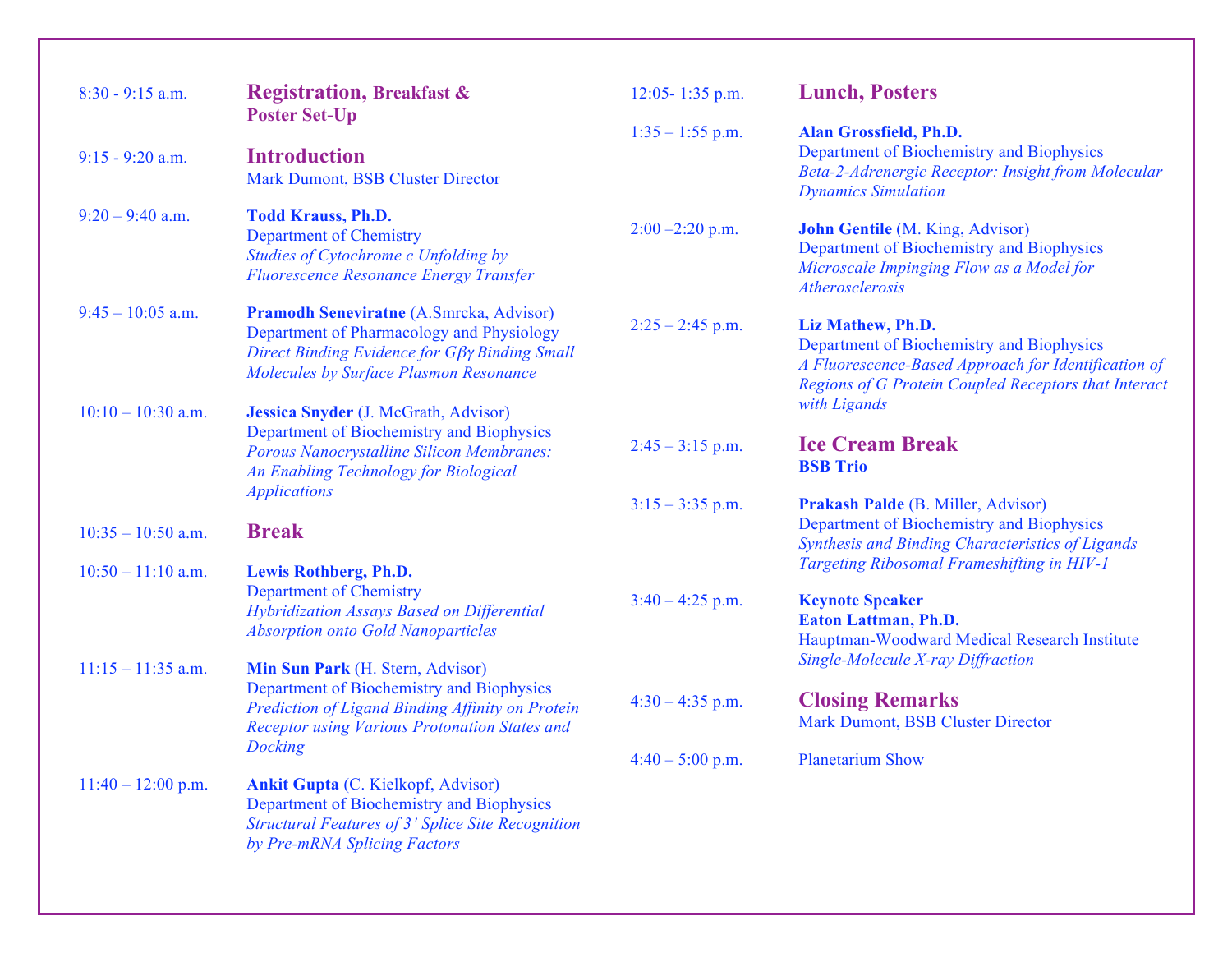| $8:30 - 9:15$ a.m.   | <b>Registration, Breakfast &amp;</b><br><b>Poster Set-Up</b>                                                                                                                                          | 12:05-1:35 p.m.    | <b>Lunch, Posters</b>                                                                                                                                                             |
|----------------------|-------------------------------------------------------------------------------------------------------------------------------------------------------------------------------------------------------|--------------------|-----------------------------------------------------------------------------------------------------------------------------------------------------------------------------------|
| $9:15 - 9:20$ a.m.   | <b>Introduction</b><br>Mark Dumont, BSB Cluster Director                                                                                                                                              | $1:35 - 1:55$ p.m. | Alan Grossfield, Ph.D.<br>Department of Biochemistry and Biophysics<br>Beta-2-Adrenergic Receptor: Insight from Molecular<br><b>Dynamics Simulation</b>                           |
| $9:20 - 9:40$ a.m.   | <b>Todd Krauss, Ph.D.</b><br><b>Department of Chemistry</b><br>Studies of Cytochrome c Unfolding by<br><b>Fluorescence Resonance Energy Transfer</b>                                                  | $2:00 - 2:20$ p.m. | <b>John Gentile</b> (M. King, Advisor)<br>Department of Biochemistry and Biophysics<br>Microscale Impinging Flow as a Model for<br>Atherosclerosis                                |
| $9:45 - 10:05$ a.m.  | <b>Pramodh Seneviratne (A.Smrcka, Advisor)</b><br>Department of Pharmacology and Physiology<br>Direct Binding Evidence for $G\beta\gamma$ Binding Small<br>Molecules by Surface Plasmon Resonance     | $2:25 - 2:45$ p.m. | Liz Mathew, Ph.D.<br>Department of Biochemistry and Biophysics<br>A Fluorescence-Based Approach for Identification of<br>Regions of G Protein Coupled Receptors that Interact     |
| $10:10 - 10:30$ a.m. | Jessica Snyder (J. McGrath, Advisor)<br>Department of Biochemistry and Biophysics<br><b>Porous Nanocrystalline Silicon Membranes:</b><br>An Enabling Technology for Biological<br><b>Applications</b> | $2:45 - 3:15$ p.m. | with Ligands<br><b>Ice Cream Break</b><br><b>BSB Trio</b>                                                                                                                         |
| $10:35 - 10:50$ a.m. | <b>Break</b>                                                                                                                                                                                          | $3:15 - 3:35$ p.m. | Prakash Palde (B. Miller, Advisor)<br>Department of Biochemistry and Biophysics<br>Synthesis and Binding Characteristics of Ligands<br>Targeting Ribosomal Frameshifting in HIV-1 |
| $10:50 - 11:10$ a.m. | Lewis Rothberg, Ph.D.<br><b>Department of Chemistry</b><br>Hybridization Assays Based on Differential<br><b>Absorption onto Gold Nanoparticles</b>                                                    | $3:40 - 4:25$ p.m. | <b>Keynote Speaker</b><br>Eaton Lattman, Ph.D.<br>Hauptman-Woodward Medical Research Institute                                                                                    |
| $11:15 - 11:35$ a.m. | Min Sun Park (H. Stern, Advisor)<br>Department of Biochemistry and Biophysics<br>Prediction of Ligand Binding Affinity on Protein<br><b>Receptor using Various Protonation States and</b>             | $4:30 - 4:35$ p.m. | Single-Molecule X-ray Diffraction<br><b>Closing Remarks</b><br>Mark Dumont, BSB Cluster Director                                                                                  |
| $11:40 - 12:00$ p.m. | Docking<br><b>Ankit Gupta</b> (C. Kielkopf, Advisor)<br>Department of Biochemistry and Biophysics<br>Structural Features of 3' Splice Site Recognition<br>by Pre-mRNA Splicing Factors                | $4:40 - 5:00$ p.m. | <b>Planetarium Show</b>                                                                                                                                                           |